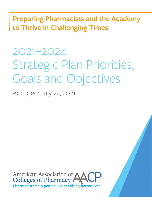**Preparing Pharmacists and the Academy to Thrive in Challenging Times**

2021–2024 Strategic Plan Priorities, Goals and Objectives

Adopted: July 22, 2021

American Association of<br>Colleges of Pharmacy Pharmacists help people live healthier, better lives.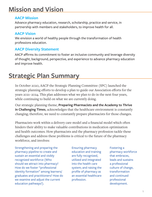# **Mission and Vision**

### **AACP Mission**

Advance pharmacy education, research, scholarship, practice and service, in partnership with members and stakeholders, to improve health for all.

### **AACP Vision**

We envision a world of healthy people through the transformation of health professions education.

## **AACP Diversity Statement**

AACP affirms its commitment to foster an inclusive community and leverage diversity of thought, background, perspective, and experience to advance pharmacy education and improve health.

# **Strategic Plan Summary**

In October 2020, AACP the Strategic Planning Committee (SPC) launched the strategic planning efforts to develop a plan to guide our Association efforts for the years 2021–2024. This plan addresses what we plan to do in the next four years, while continuing to build on what we are currently doing.

Our strategic planning theme, **Preparing Pharmacists and the Academy to Thrive in Challenging Times**, acknowledges that the healthcare environment is constantly changing; therefore, we need to constantly prepare pharmacists for those changes.

Pharmacists work within a delivery care model and a financial model which often hinders their ability to make valuable contributions in medication optimization and health outcomes. How pharmacists and the pharmacy profession tackle these challenges and address these problems is critical to the future of the pharmacy workforce, and involves:

Strengthening and preparing the pharmacy pipeline to create and sustain an essential and visibly recognized workforce (Who should we attract into pharmacy? How do we foster "professional identity formation" among learners/ graduates and practitioners? How do we examine and adjust the current education pathways?).

Ensuring pharmacy education and training are fully recognized, utilized and integrated into the health care system; and raising the profile of pharmacy as an essential healthcare profession.

Fostering a pharmacy workforce that embraces, leads and sustains a professional culture of change, transformation and continued professional development.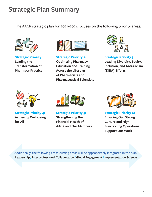# **Strategic Plan Summary**

The AACP strategic plan for 2021–2024 focuses on the following priority areas:



**Strategic Priority 1: Leading the Transformation of Pharmacy Practice**



**Strategic Priority 2: Optimizing Pharmacy Education and Training Across the Lifespan of Pharmacists and Pharmaceutical Scientists**



**Strategic Priority 3: Leading Diversity, Equity, Inclusion, and Anti-racism (DEIA) Efforts**



**Strategic Priority 4: Achieving Well-being for All**



**Strategic Priority 5: Strengthening the Financial Health of AACP and Our Members**



**Strategic Priority 6: Ensuring Our Strong Culture and High-Functioning Operations Support Our Work**

Additionally, the following cross-cutting areas will be appropriately integrated in the plan: **Leadership / Interprofessional Collaboration / Global Engagement / Implementation Science**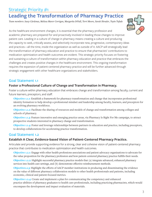Strategic Priority #1

## **Leading the Transformation of Pharmacy Practice**

*Team members: Jasey Cárdenas, Melissa Murer Corrigan, Margarita DiVall, Terri Moore, Sarah Shrader, Toyin Tofade*

As the healthcare environment changes, it is essential that the pharmacy profession and academic pharmacy are prepared for and proactively involved in leading those changes to improve patient care. Leading in a culture of change in pharmacy means creating a culture and producing the capacity to seek, critically assess, and selectively incorporate new, progressive, contemporary ideas and practices—all the time, inside the organization as well as outside of it. AACP will strategically lead the transformation of pharmacy education and practice to ensure that pharmacists' contributions to medication optimization and health outcomes are evident. This strategic priority focuses on fostering and sustaining a culture of transformation within pharmacy education and practice that embraces the challenges and creates positive changes in the healthcare environment. This ongoing transformation requires the expansion of patient-centered pharmacy practice and will be further advanced through strategic engagement with other healthcare organizations and stakeholders.

## Goal Statement 1.1

#### **Foster a Professional Culture of Change and Transformation in Pharmacy.**

Foster a culture within pharmacy education that embraces change and transformation among faculty, current and future learners, preceptors, and staff.

**Objective 1.1.1:** Establish a framework for pharmacy transformation and change that incorporates professional identity formation to help develop a professional mindset and leadership among faculty, learners, and preceptors for an evolving pharmacy workforce.

**Objective 1.1.2:** Facilitate the sharing of resources and models of change and transformation among colleges and schools of pharmacy.

**Objective 1.1.3:** Feature innovative and emerging practice areas, via Pharmacy Is Right For Me campaign, to attract prospective students interested in pharmacy change and transformation.

**Objective 1.1.4:** Foster and leverage relationships between partners in education and practice, including preceptors, to develop collaborations for accelerating practice transformation.

## Goal Statement 1.2

### **Establish A Clear, Evidence-based Vision of Patient-Centered Pharmacy Practice.**

Articulate and provide supporting evidence for a strong, clear and cohesive vision of patient-centered pharmacy practice that contributes to medication optimization and health outcomes.

**Objective 1.2.1:** Engage with other health professions associations and patient advocacy organizations to advocate for the value proposition for the pharmacy profession and how patient-centered pharmacy practice fulfills their needs.

**Objective 1.2.2:** Highlight successful pharmacy practice models that (a) integrate advanced, enhanced pharmacy services into health care settings, and (b) demonstrate effective reimbursement methods.

**Objective1.2.3:** Highlight the efforts of AACP member institutions in producing and disseminating the evidence on the value of different pharmacy collaboration models to other health professionals and patients, including economic, clinical and patient-focused metrics.

**Objective 1.2.4:** Create and implement a plan for communicating the competency and enhanced practice abilities of pharmacy graduates to health care professionals, including practicing pharmacists, which would encompass the development and impact evaluation of materials.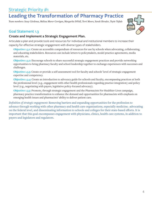Strategic Priority #1

## **Leading the Transformation of Pharmacy Practice**

*Team members: Jasey Cárdenas, Melissa Murer Corrigan, Margarita DiVall, Terri Moore, Sarah Shrader, Toyin Tofade*

### Goal Statement 1.3

#### **Create and Implement a Strategic Engagement Plan.**

Articulate a plan and provide tools and resources for individual and institutional members to increase their capacity for effective strategic engagement with diverse types of stakeholders.

**Objective 1.3.1:** Create an accessible compendium of resources for use by schools when advocating, collaborating, and educating stakeholders. Resources can include letters to policymakers, model practice agreements, media materials, etc.

**Objective 1.3.2:** Encourage schools to share successful strategic engagement practices and provide networking opportunities to bring pharmacy faculty and school leadership together to exchange experiences with successes and challenges.

**Objective 1.3.3:** Create or provide a self-assessment tool for faculty and schools' level of strategic engagement expertise and competency.

**Objective 1.3.4:** Create an introduction to advocacy guide for schools and faculty, encompassing practices at both the professional level (e.g., engagement with other health professionals regarding practice integration) and policy level (e.g., negotiating with payers, legislative policy-focused advocacy).

**Objective 1.3.5:** Promote, through strategic engagement and the Pharmacists For Healthier Lives campaign, pharmacy practice transformation to enhance the demand and opportunities for pharmacists with emphasis on emerging health issues and pharmacists' ability to deliver patient care.

*Definition of strategic engagement:* Removing barriers and expanding opportunities for the profession to advance through working with other pharmacy and health care organizations, especially medicine; advocating on the federal level, and disseminating information to schools and colleges for their state-based efforts. It is important that this goal encompasses engagement with physicians, clinics, health care systems, in addition to payers and legislators and regulators.

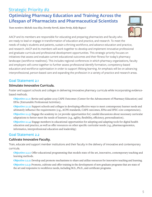## Strategic Priority #2

## **Optimizing Pharmacy Education and Training Across the Lifespan of Pharmacists and Pharmaceutical Scientists**

*Team members: Michelle Assa-Eley, Dorothy Farrell, Adam Persky, Kelly Ragucci*



AACP and its members are responsible for educating and preparing pharmacists and faculty who are ready to lead or engage in transformation of education and practice, and research. To meet the needs of today's students and patients, sustain a thriving workforce, and advance education and practice, and research. AACP and its members will work together to develop and implement innovative professional and graduate curricula and professional development opportunities. This strategic priority focuses on initiatives that assess and evaluate current educational outcomes and their fitness for today's pharmacy landscape (workforce readiness). This includes regional conferences in which pharmacy organizations, faculty and employers will come together to further assess professional identify formation, competency-based education and workforce optimization in order to support lifelong learning. An emphasis will be on advancing interprofessional, person-based care and expanding the profession in a variety of practice and research areas.

## Goal Statement 2.1

### **Stimulate Innovative Curricula.**

Foster and support schools and colleges in delivering innovative pharmacy curricula while incorporating evidencebased methods.

**Objective 2.1.1:** Revise and update 2013 CAPE Outcomes (Center for the Advancement of Pharmacy Education) and EPAs (Entrustable Professional Activities).

**Objective 2.1.2:** Support schools and colleges in developing effective ways to meet contemporary learner needs and ultimately influence the requirements (e.g., ACPE standards, CAPE outcomes, EPAs and IPEC core competencies).

**Objective 2.1.3:** Engage the academy in (or provide opportunities for) candid discussions about necessary curricular adaptations to better meet the needs of learners (e.g., agility, flexibility, efficiency, personalization).

**Objective 2.1.4:** Engage members in educational opportunities for adopting and adapting tools for digital health education and practice, as well as offer resources on other specific curricular needs (e.g., pharmacogenomics, informatics, interprofessional education and leadership)

## Goal Statement 2.2

#### **Cultivate Innovative Faculty.**

Train, educate and support member institutions and their faculty in the delivery of innovative and contemporary curricula.

**Objective 2.2.1:** Offer educational programming that models state of the art, innovative, contemporary teaching and learning methods.

**Objective 2.2.2:** Develop and promote mechanisms to share and utilize resources for innovative teaching and learning. **Objective 2.2.3:** Promote, cultivate and offer training in the development of new graduate programs that are state of the art and responsive to workforce needs, including M.S., Ph.D., and certificate programs.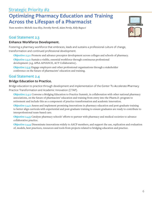## **Optimizing Pharmacy Education and Training Across the Lifespan of a Pharmacist**

*Team members: Michelle Assa-Eley, Dorothy Farrell, Adam Persky, Kelly Ragucci*

#### Goal Statement 2.3

#### **Enhance Workforce Development.**

Fostering a pharmacy workforce that embraces, leads and sustains a professional culture of change, transformation and continued professional development.

**Objective 2.3.1:** Promote and advance preceptor development across colleges and schools of pharmacy.

**Objective 2.3.2:** Sustain a visible, essential workforce through continuous professional development (e.g. APhA ADVANCE, ACT Collaborative).

**Objective 2.3.3:** Engage employers and other professional organizations through a stakeholder conference on the future of pharmacists' education and training.

### Goal Statement 2.4

#### **Bridge Education to Practice.**

Bridge education to practice through development and implementation of the Center To Accelerate Pharmacy Practice Transformation and Academic Innovation (CTAP).

**Objective 2.4.1:** Convene a Bridging Education to Practice Summit, in collaboration with other national pharmacy associations, on the future of pharmacists' education and training from entry into the Pharm.D. program to retirement and include this as a component of practice transformation and academic innovation.

**Objective 2.4.2:** Assess and implement promising innovations in pharmacy education and post-graduate training to better align curricula with experiential and post-graduate training to ensure graduates are ready to contribute to interprofessional team-based care.

**Objective 2.4.3:** Catalyze pharmacy schools' efforts to partner with pharmacy and medical societies to advance collaborative practice.

**Objective 2.4.4:** Disseminate innovations widely to AACP members, and support the use, replication and evaluation of, models, best practices, resources and tools from projects related to bridging education and practice.

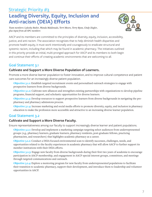## Strategic Priority #3 **Leading Diversity, Equity, Inclusion and Anti-racism (DEIA) Efforts**



*Team members: Lakesha Butler, Wanda Maldonado, Terri Moore, Terry Ryan, Cindy Ziegler, plus input from all SPC members*

AACP and its members are committed to the principles of diversity, equity, inclusion, accessibility, justice, and anti-racism. The association recognizes that to help diminish health disparities and promote health equity, it must work intentionally and courageously to eradicate structural and systemic racism, including that which may be found in academic pharmacy. The initiatives outlined in this priority provide an initial, multi-pronged approach for AACP and its members to both begin and continue their efforts of creating academic environments that are welcoming to all.

## Goal Statement 3.1

#### **Cultivate and Support a More Diverse Population of Learners.**

Promote a more diverse learner population to foster innovation, and to improve cultural competence and patient care outcomes for an increasingly diverse patient population.

**Objective 3.1.1:** Establish targeted recruitment events and personalized outreach strategies to engage with prospective learners from diverse backgrounds.

**Objective 3.1.2:** Cultivate new alliances and strengthen existing partnerships with organizations to develop pipeline programs, financial support, and scholastic opportunities for diverse learners.

**Objective 3.1.3:** Develop resources to support prospective learners from diverse backgrounds in navigating the prepharmacy and pharmacy admissions process.

**Objective 3.1.4:** Increase marketing and social media efforts to promote diversity, equity, and inclusion in pharmacy education to make the profession more accessible and attractive to an increasing diverse learner population.

## Goal Statement 3.2

#### **Cultivate and Support a More Diverse Faculty.**

Ensure representativeness among our faculty to support increasingly diverse learner and patient populations.

**Objective 3.2.1:** Develop and implement a marketing campaign targeting select audiences from underrepresented groups (e.g., pharmacy learners, graduate learners, pharmacy residents, post-graduate fellows, practicing pharmacists, and researchers) that highlights academic pharmacy as a career.

**Objective 3.2.2:** Conduct a DEIA focused environmental scan to identify successes, challenges, needs, and opportunities related to the faculty experiences in academic pharmacy that will allow AACP to further support its member institutions with their DEIA efforts.

**Objective 3.2.3:** Engage new faculty from diverse backgrounds during their first two years of academia to encourage participation in AACP membership, and engagement in AACP special interest groups, committees, and meetings through targeted communications and outreach.

**Objective 3.2.4:** Explore a mentoring program for new faculty from underrepresented populations to facilitate their transition to academic pharmacy, support their development, and introduce them to leadership and volunteer opportunities in AACP.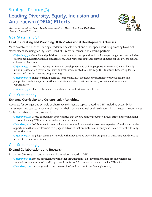## Strategic Priority #3 **Leading Diversity, Equity, Inclusion and Anti-racism (DEIA) Efforts**

*Team members: Lakesha Butler, Wanda Maldonado, Terri Moore, Terry Ryan, Cindy Ziegler, plus input from all SPC members*



## Goal Statement 3.3

## **Lead in Creating and Providing DEIA Professional Development Activities.**

Make available workshops, trainings, leadership development and other specialized programming to all AACP stakeholders, including faculty, staff, Board of Directors, learners and external partners.

**Objective 3.3.1:** Compile and publish resources related to best practices in inclusive pedagogy, creating inclusive classrooms, navigating difficult conversations, and promoting equitable campus climates for use by schools and colleges of pharmacy.

**Objective 3.3.2:** Provide ongoing professional development and training opportunities to AACP membership, including association governance, staff, and volunteers related to DEIA (e.g., EDI Institute, Leadership Forum, Annual and Interim Meeting programming).

**Objective 3.3.3:** Engage current pharmacy learners in DEIA focused conversations to provide insight and perspective on their experiences that could stimulate the creation of future professional development opportunities.

**Objective 3.3.4:** Share DEIA resources with internal and external stakeholders.

## Goal Statement 3.4

#### **Enhance Curricular and Co-curricular Activities.**

Advocate for colleges and schools of pharmacy to integrate topics related to DEIA, including accessibility, harassment, and structural racism, throughout their curricula as well as those leadership and support experiences for learners that support their curricula.

**Objective 3.4.1:** Create engagement opportunities that involve affinity groups to discuss strategies for including and/or enhancing DEIA topics throughout their curricula.

**Objective 3.4.2:** Collaborate with external associations and organizations to create experiential and co-curricular opportunities that allow learners to engage in activities that promote health equity and the delivery of culturally responsive care.

**Objective 3.4.3:** Highlight pharmacy schools with innovative co-curricular programs in DEIA that could serve as models for other institutions.

## Goal Statement 3.5

#### **Expand Collaborations and Research.**

Expand AACP's research and external collaborations related to DEIA.

**Objective 3.5.1:** Explore partnerships with other organizations (e.g., government, non-profit, professional associations, academic) to identify opportunities for AACP to increase and enhance its DEIA efforts. **Objective 3.5.2:** Encourage and sponsor research related to DEIA in academic pharmacy.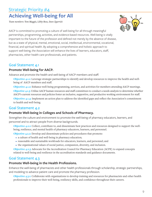## Strategic Priority #4 **Achieving Well-being for All**

*Team members: Tom Maggio, Libby Ross, Dave Zgarrick*



AACP is committed to promoting a culture of well-being for all through meaningful partnerships, programming, activities, and evidence-based resources. Well-being is vitally important to the future of the profession and defined not merely by the absence of disease, but as a state of physical, mental, emotional, social, intellectual, environmental, vocational, financial, and spiritual health. By adopting a comprehensive and holistic approach to support well-being, the Association will enhance the lives of learners, educators, staff, pharmacists, other health care professionals, and patients.

### Goal Statement 4.1

#### **Promote Well-being for AACP.**

Advance and promote the health and well-being of AACP members and staff.

**Objective 4.1.1:** Leverage strategic partnerships to identify and develop resources to improve the health and wellbeing of AACP members and staff.

**Objective 4.1.2:** Enhance well-being programming, services, and activities for members attending AACP meetings. **Objective 4.1.3:** Utilize AACP human resources and staff committees to conduct a needs analysis to determine whether AACP's current resources and policies foster an inclusive, supportive, and productive working environment for staff.

**Objective 4.1.4:** Implement an action plan to address the identified gaps and reflect the Association's commitment to health and well-being.

### Goal Statement 4.2

#### **Promote Well-being in Colleges and Schools of Pharmacy.**

Strengthen the culture and environment to promote the well-being of pharmacy educators, learners, and personnel and to attract people from diverse backgrounds.

**Objective 4.2.1:** Collect, contribute to, and disseminate best practices and resources designed to support the wellbeing, resilience, and mental health of pharmacy educators, learners, and personnel.

**Objective 4.2.2:** Develop and disseminate policies and procedures that promote:

- **•** a culture of health and well-being in pharmacy education;
- **•** reasonable and sustainable workloads for educators, learners, and personnel; and
- **•** the organizational values of social justice, compassion, diversity, and inclusion.

**Objective 4.2.3:** Advocate for the Accreditation Council for Pharmacy Education (ACPE) to expand concepts related to well-being and resilience in the accreditation standards and guidance documents.

## Goal Statement 4.3

#### **Promote Well-being in the Health Professions.**

Enhance the well-being of pharmacists and other health professionals through scholarship, strategic partnerships, and modeling to advance patient care and promote the pharmacy profession.

**Objective 4.3.1:** Collaborate with organizations to develop training and resources for pharmacists and other health professionals to improve their well-being, resiliency skills, and confidence throughout their careers.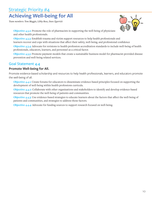## Strategic Priority #4 **Achieving Well-being for All**

*Team members: Tom Maggio, Libby Ross, Dave Zgarrick*



**Objective 4.3.2:** Promote the role of pharmacists in supporting the well-being of physicians and other health professionals.

**Objective 4.3.3:** Establish trauma and victim support resources to help health professionals and learners recover and cope with situations that affect their safety, well-being, and professional confidence

**Objective 4.3.4:** Advocate for revisions to health profession accreditation standards to include well-being of health professionals, educators, learners, and personnel as a critical factor.

**Objective 4.3.5:** Promote payment models that create a sustainable business model for pharmacist-provided disease prevention and well-being related services.

## Goal Statement 4.4

#### **Promote Well-being for All.**

Promote evidence-based scholarship and resources to help health professionals, learners, and educators promote the well-being of all.

**Objective 4.4.1:** Create forums for educators to disseminate evidence-based principles focused on supporting the development of well-being within health professions curricula.

**Objective 4.4.2:** Collaborate with other organizations and stakeholders to identify and develop evidence-based resources that promote the well-being of patients and communities.

**Objective 4.4.3:** Use evidence-based strategies to educate learners about the factors that affect the well-being of patients and communities, and strategies to address those factors.

**Objective 4.4.4:** Advocate for funding sources to support research focused on well-being.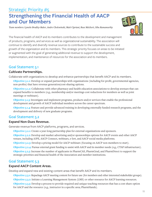## Strategic Priority #5 **Strengthening the Financial Health of AACP and Our Members**

*Team members: Lynette Bradley-Baker, Andre Cholewinski, Matt Cipriani, Russ Melchert, Sibu Ramamurthy*



The financial health of AACP and its members contributes to the development and management of products, programs, and services as well as organizational sustainability. The association will continue to identify and diversify revenue sources to contribute to the sustainable success and growth of the organization and its members. This strategic priority focuses on areas to be initiated or augmented with the goal of generating additional revenue to support the development, implementation, and maintenance of resources for the association and its members.

## Goal Statement 5.1

#### **Cultivate Partnerships.**

Collaborate with organizations to develop and enhance partnerships that benefit AACP and its members.

**Objective 5.1.1:** Develop or expand partnerships with organizations (including for-profit, governmental agencies, non-profits) that have revenue generation/cost-sharing options.

**Objective 5.1.2:** Collaborate with other pharmacy and health education associations to develop avenues that can expand benefits to members (e.g., membership and/or meetings cost reductions for members as well as joint meetings or webinars).

**Objective 5.1.3:** Investigate and implement programs, products and/or services that enable the professional development and growth of AACP individual members across the career spectrum.

**Objective 5.1.4:** Feature and provide advanced training in developing externally funded research programs, and the development and delivery of new graduate programs.

## Goal Statement 5.2

#### **Expand Non-Dues Revenue.**

Generate revenue from AACP platforms, programs, and services.

**Objective 5.2.1:** Create a year-long partnership plan for external organizations and sponsors.

**Objective 5.2.2:** Develop and market advertising and/or sponsorships options for AACP events and other AACP venues, including AJPE, AACP Connect, webinars, e-lert, and AACP social media platforms.

**Objective 5.2.3:** Develop a pricing model for AACP webinars (focusing on AACP non-members to start).

**Objective 5.2.4:** Pursue external grant funding to assist with AACP and its member needs (e.g., CTAP infrastructure).

**Objective 5.2.5:** Increase the number of applicants in PharmCAS, PharmGrad, and PharmDirect to support the strategic priorities and financial health of the Association and member institutions.

## Goal Statement 5.3

#### **Expand AACP Content Areas.**

Develop and expand new and existing content areas that benefit AACP and its members.

**Objective 5.3.1:** Repackage AACP meeting content for future use (for members and other interested stakeholder groups).

**Objective 5.3.2:** Initiate a Learning Management System (LMS) or other resource for AACP learning resources.

**Objective 5.3.3:** Develop a process to provide required and unique teaching resources that has a cost-share option for AACP and the resource (e.g., instructor in a specific area; PharmHands).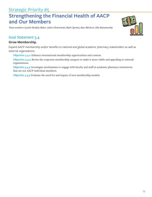## Strategic Priority #5 **Strengthening the Financial Health of AACP and Our Members**

*Team members: Lynette Bradley-Baker, Andre Cholewinski, Matt Cipriani, Russ Melchert, Sibu Ramamurthy*

### Goal Statement 5.4

#### **Grow Membership.**

Expand AACP membership and/or benefits to national and global academic pharmacy stakeholders as well as external organizations.

**Objective 5.4.1:** Enhance international membership opportunities and content.

**Objective 5.4.2:** Revise the corporate membership category to make it more viable and appealing to external organizations.

**Objective 5.4.3:** Investigate mechanisms to engage with faculty and staff at academic pharmacy institutions that are not AACP individual members.

**Objective 5.4.3:** Evaluate the need for and impact of new membership models.

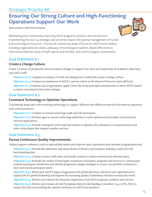## Strategic Priority #6 **Ensuring Our Strong Culture and High-Functioning Operations Support Our Work**

*Team members: AACP Vice Presidents*



Maintaining and continuously improving AACP programs, products and services and implementing the 2021-24 strategic plan priorities require the optimal management of human and technological resources. Priority #6 outlines key areas of focus for AACP senior leaders, including: organizational culture, adequacy of technological systems, Board effectiveness, internal and external equity of staff salaries and benefits, and current program assessments.

### Goal Statement 6.1

#### **Create a Change Culture.**

Foster a culture of productive and innovative change to support the work and leadership of academic pharmacy and AACP staff.

**Objective 6.1.1:** Complete an analysis of work describing how to build and sustain a change culture.

**Objective 6.1.2:** Conduct an assessment of AACP's current culture at the Board of Directors and staff levels.

**Objective 6.1.3:** Evaluate and, if appropriate, apply *Culture By Design* principles and practices to move AACP toward a culture of productive/innovative change.

## Goal Statement 6.2

#### **Command Technology to Optimize Operations.**

Consistently keep pace with evolving technology to support efficient and effective internal and external operation and communications.

**Objective 6.2.1:** Conduct an annual technology audit and risk assessment.

**Objective 6.2.2:** Evaluate gaps in current technology platforms to reach optimum functionality in internal and external applications.

**Objective 6.2.3:** Provide training for AACP staff and leaders to optimize the utilization of communications and other technologies that support member services.

## Goal Statement 6.3

#### **Pursue Continuous Quality Improvements.**

Utilize program evaluation tools to periodically assess and improve upon operations and member programs/services.

**Objective 6.3.1:** Periodically administer and assess Board of Director performance utilizing a valid tool with benchmarking data.

**Objective 6.3.2:** Conduct routine staff salary and benefit analysis to achieve internal and external equity.

**Objective 6.3.3:** Evaluate the results of participant evaluations of projects, programs and services to continuously evaluate participant satisfaction and identify progressive change strategies to ensure our portfolio continues to meet and exceed participant needs.

**Objective 6.3.4:** Build upon AACP's legacy engagement with global pharmacy educators and organizations to expand AACP's global leadership and support the increasing quality of pharmacy education around the world.

**Objective 6.3.5:** Review and evaluate the financial components of all AACP programs, products and services.

**Objective 6.3.6:** Review and evaluate all AACP programs that provide funding to members (e.g., SoTL, NIA) to ensure that they are providing the optimal outcomes for AACP and members.